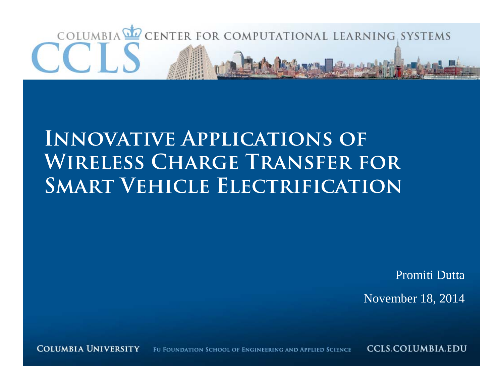# COLUMBIA **OF CENTER FOR COMPUTATIONAL LEARNING SYSTEMS**

## **Innovative Applications of Wireless Charge Transfer for Smart Vehicle Electrification**

Promiti Dutta November 18, 2014

**COLUMBIA UNIVERSITY** FU FOUNDATION SCHOOL OF ENGINEERING AND APPLIED SCIENCE

**CCLS.COLUMBIA.EDU**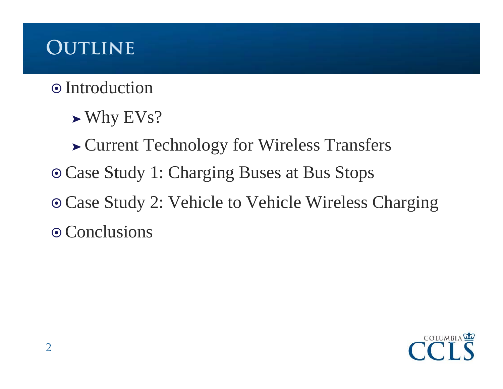## **Outline**

#### $\odot$  Introduction

➤ Why EVs?

➤ Current Technology for Wireless Transfers Case Study 1: Charging Buses at Bus Stops Case Study 2: Vehicle to Vehicle Wireless Charging  $\odot$  Conclusions

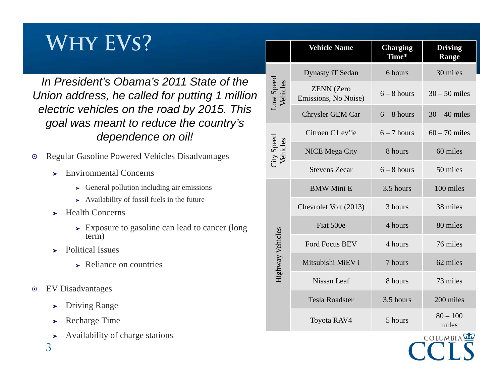## **Why EVs?**

*In President's Obama's 2011 State of the Union address, he called for putting 1 million electric vehicles on the road by 2015. This goal was meant to reduce the country's dependence on oil!*

- $\odot$  Regular Gasoline Powered Vehicles Disadvantages
	- ➤ Environmental Concerns
		- ➤ General pollution including air emissions
		- ➤ Availability of fossil fuels in the future
	- ➤ Health Concerns
		- ➤ Exposure to gasoline can lead to cancer (long term)
	- ➤ Political Issues
		- ➤ Reliance on countries
- $\odot$ EV Disadvantages

3

- ➤Driving Range
- ➤Recharge Time
- ➤Availability of charge stations

**Vehicle Name Charging Driving Time\*Range** Dynasty iT Sedan 6 hours 30 miles Low Speed<br>Vehicles Low Speed ZENN (Zero Emissions, No Noise)  $6 - 8$  hours  $30 - 50$  miles Chrysler GEM Car  $6 - 8$  hours  $30 - 40$  miles Citroen C1 ev'ie  $6 - 7$  hours  $60 - 70$  miles City Speed<br>Vehicles City Speed NICE Mega City 8 hours 60 miles Stevens Zecar  $6 - 8$  hours  $50$  miles BMW Mini E 3.5 hours 100 miles Chevrolet Volt (2013) 3 hours 38 miles Fiat 500e 4 hours 80 miles Highway Vehicles Highway Vehicles Ford Focus BEV 4 hours 76 miles Mitsubishi MiEV i 7 hours 62 miles Nissan Leaf 8 hours 73 miles Tesla Roadster 3.5 hours 200 milesToyota RAV4 5 hours  $80 - 100$  miles

COLUMBIA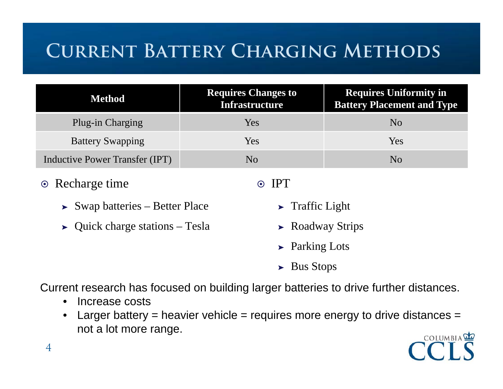## **Current Battery Charging Methods**

| Method                         | <b>Requires Changes to</b><br><b>Infrastructure</b> | <b>Requires Uniformity in</b><br><b>Battery Placement and Type</b> |
|--------------------------------|-----------------------------------------------------|--------------------------------------------------------------------|
| Plug-in Charging               | Yes                                                 | N <sub>0</sub>                                                     |
| <b>Battery Swapping</b>        | Yes                                                 | Yes                                                                |
| Inductive Power Transfer (IPT) | No                                                  | No                                                                 |

- **⊙** Recharge time
	- ➤ Swap batteries Better Place
	- ➤ Quick charge stations Tesla

#### ⊙ IPT

- ➤ Traffic Light
- ➤ Roadway Strips
- ➤ Parking Lots
- ➤ Bus Stops

Current research has focused on building larger batteries to drive further distances.

- $\bullet$ Increase costs
- $\bullet$ Larger battery = heavier vehicle = requires more energy to drive distances = not a lot more range.



4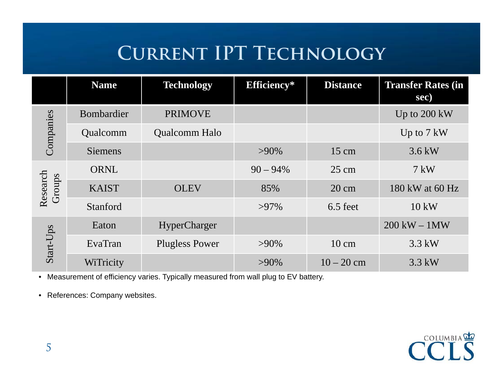## **Current IPT Technology**

|                    | <b>Name</b>    | <b>Technology</b>     | Efficiency* | <b>Distance</b> | <b>Transfer Rates (in)</b><br>sec) |
|--------------------|----------------|-----------------------|-------------|-----------------|------------------------------------|
| Companies          | Bombardier     | <b>PRIMOVE</b>        |             |                 | Up to $200 \text{ kW}$             |
|                    | Qualcomm       | <b>Qualcomm Halo</b>  |             |                 | Up to $7 \text{ kW}$               |
|                    | <b>Siemens</b> |                       | $>90\%$     | $15 \text{ cm}$ | $3.6 \text{ kW}$                   |
| Research<br>Groups | ORNL           |                       | $90 - 94\%$ | $25 \text{ cm}$ | $7 \text{ kW}$                     |
|                    | <b>KAIST</b>   | <b>OLEV</b>           | 85%         | $20 \text{ cm}$ | 180 kW at 60 Hz                    |
|                    | Stanford       |                       | $>97\%$     | $6.5$ feet      | $10 \text{ kW}$                    |
| Start-Ups          | Eaton          | HyperCharger          |             |                 | $200$ kW $-1$ MW                   |
|                    | EvaTran        | <b>Plugless Power</b> | $>90\%$     | $10 \text{ cm}$ | $3.3$ kW                           |
|                    | WiTricity      |                       | $>90\%$     | $10 - 20$ cm    | $3.3$ kW                           |

• Measurement of efficiency varies. Typically measured from wall plug to EV battery.

• References: Company websites.

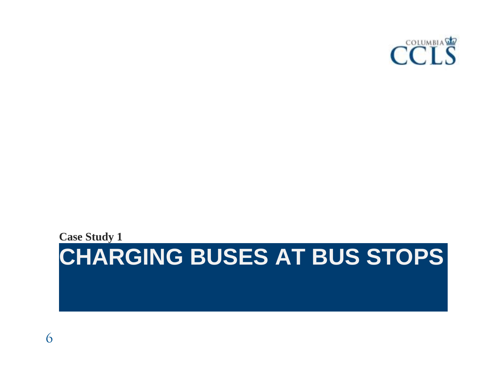

#### **CHARGING BUSES AT BUS STOPS Case Study 1**

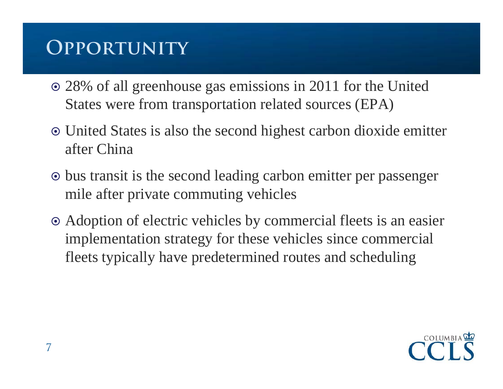## **Opportunity**

- 28% of all greenhouse gas emissions in 2011 for the United States were from transportation related sources (EPA)
- United States is also the second highest carbon dioxide emitter after China
- bus transit is the second leading carbon emitter per passenger mile after private commuting vehicles
- Adoption of electric vehicles by commercial fleets is an easier implementation strategy for these vehicles since commercial fleets typically have predetermined routes and scheduling

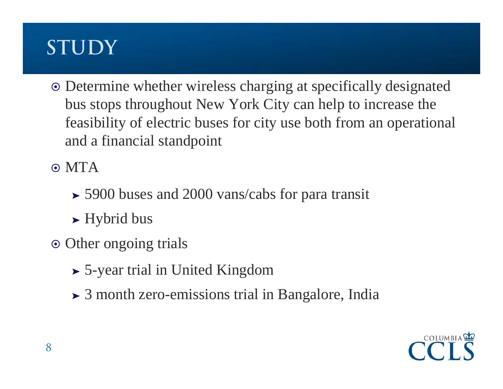## **STUDY**

 Determine whether wireless charging at specifically designated bus stops throughout New York City can help to increase the feasibility of electric buses for city use both from an operational and a financial standpoint

 $\odot$  MTA

- ➤ 5900 buses and 2000 vans/cabs for para transit
- ➤ Hybrid bus
- Other ongoing trials
	- ➤ 5-year trial in United Kingdom
	- ➤ 3 month zero-emissions trial in Bangalore, India

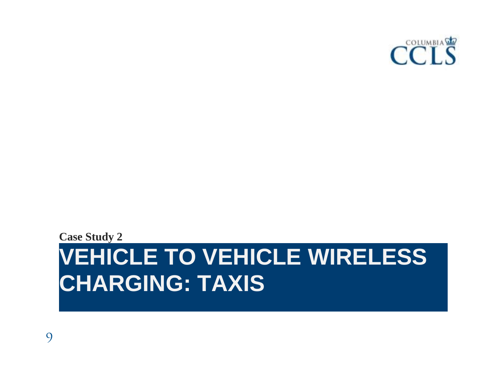

## **VEHICLE TO VEHICLE WIRELESS CHARGING: TAXIS Case Study 2**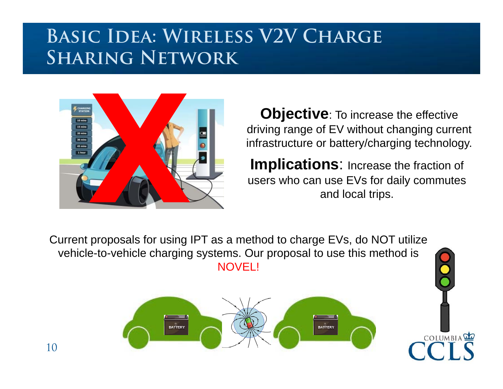### **Basic Idea: Wireless V2V Charge Sharing Network**



**Objective**: To increase the effective driving range of EV without changing current infrastructure or battery/charging technology.

**Implications**: Increase the fraction of users who can use EVs for daily commutes and local trips.

COLUMBIA

Current proposals for using IPT as a method to charge EVs, do NOT utilize vehicle-to-vehicle charging systems. Our proposal to use this method is NOVEL!



10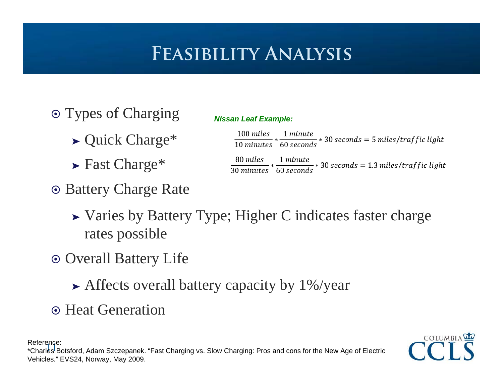## **Feasibility Analysis**

- Types of Charging
	- ➤ Quick Charge\*
	- ➤ Fast Charge\*
- Battery Charge Rate

| <b>Nissan Leaf Example:</b> |  |  |
|-----------------------------|--|--|
|                             |  |  |

| 100 miles 1 minute<br>$\frac{10 \text{ minutes}}{10 \text{ minutes}} * \frac{10 \text{ seconds}}{60 \text{ seconds}} * 30 \text{ seconds} = 5 \text{ miles/traffic light}$ |  |
|----------------------------------------------------------------------------------------------------------------------------------------------------------------------------|--|
| 80 miles 1 minute<br>$\frac{1}{30}$ minutes $*$ 60 seconds $*$ 30 seconds = 1.3 miles/traffic light                                                                        |  |

- ➤ Varies by Battery Type; Higher C indicates faster charge rates possible
- Overall Battery Life
	- ➤ Affects overall battery capacity by 1%/year
- Heat Generation

COLUMBIA

Reference:

11 \*Charles Botsford, Adam Szczepanek. "Fast Charging vs. Slow Charging: Pros and cons for the New Age of Electric Vehicles." EVS24, Norway, May 2009.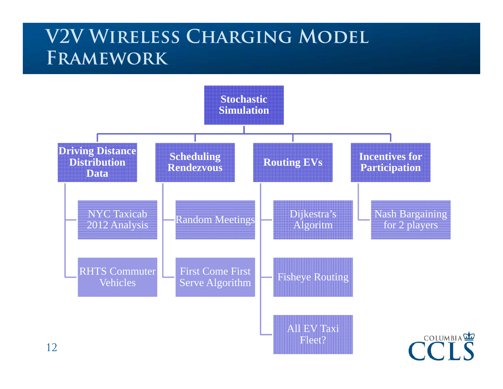#### **V2V Wireless Charging Model Framework**

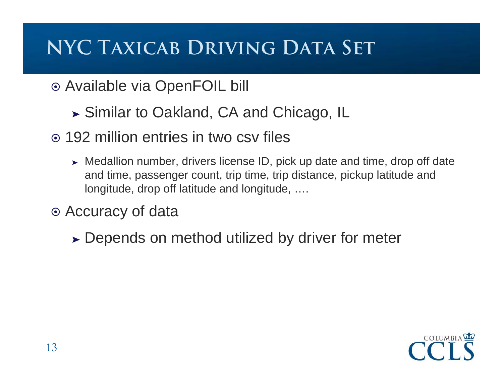## **NYC Taxicab Driving Data Set**

- Available via OpenFOIL bill
	- ➤ Similar to Oakland, CA and Chicago, IL
- 192 million entries in two csv files
	- ➤ Medallion number, drivers license ID, pick up date and time, drop off date and time, passenger count, trip time, trip distance, pickup latitude and longitude, drop off latitude and longitude, ….
- Accuracy of data
	- ➤ Depends on method utilized by driver for meter

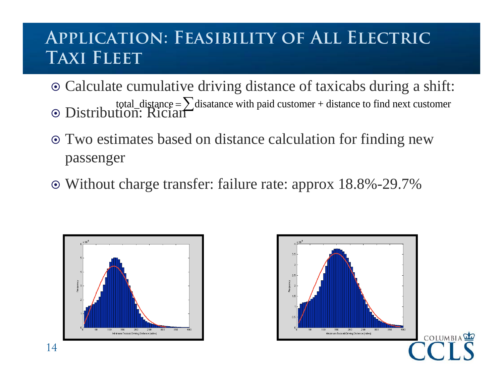#### **Application: Feasibility of All Electric Taxi Fleet**

- Calculate cumulative driving distance of taxicabs during a shift: Distribution: Rician total\_distance  $=\sum$  disatance with paid customer + distance to find next customer
- Two estimates based on distance calculation for finding new passenger
- Without charge transfer: failure rate: approx 18.8%-29.7%



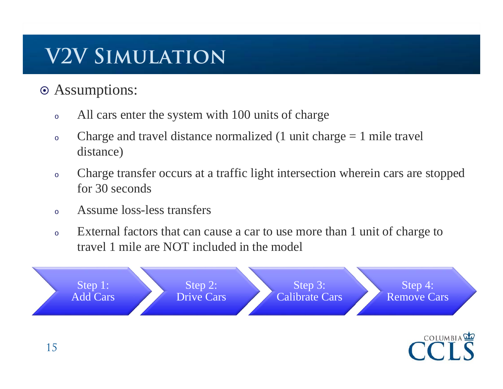## **V2V Simulation**

- Assumptions:
	- oAll cars enter the system with 100 units of charge
	- oCharge and travel distance normalized  $(1 \text{ unit charge} = 1 \text{ mile travel})$ distance)
	- o Charge transfer occurs at a traffic light intersection wherein cars are stopped for 30 seconds
	- oAssume loss-less transfers
	- o External factors that can cause a car to use more than 1 unit of charge to travel 1 mile are NOT included in the model

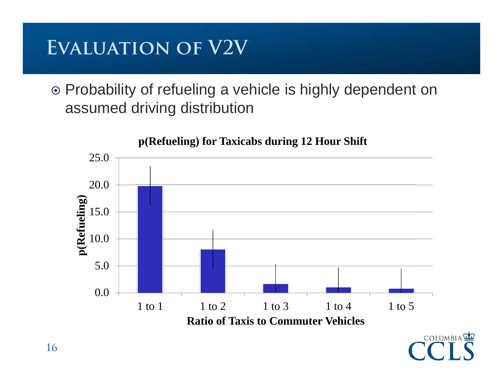## **Evaluation of V2V**

 Probability of refueling a vehicle is highly dependent on assumed driving distribution